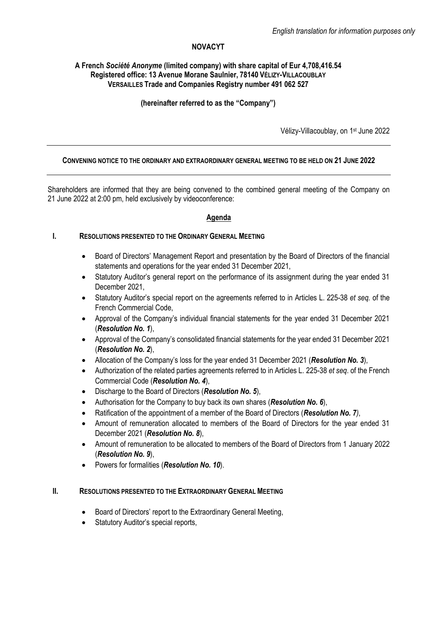# **NOVACYT**

## **A French** *Société Anonyme* **(limited company) with share capital of Eur 4,708,416.54 Registered office: 13 Avenue Morane Saulnier, 78140 VÉLIZY-VILLACOUBLAY VERSAILLES Trade and Companies Registry number 491 062 527**

# **(hereinafter referred to as the "Company")**

Vélizy-Villacoublay, on 1<sup>st</sup> June 2022

### **CONVENING NOTICE TO THE ORDINARY AND EXTRAORDINARY GENERAL MEETING TO BE HELD ON 21 JUNE 2022**

Shareholders are informed that they are being convened to the combined general meeting of the Company on 21 June 2022 at 2:00 pm, held exclusively by videoconference:

#### **Agenda**

### **I. RESOLUTIONS PRESENTED TO THE ORDINARY GENERAL MEETING**

- Board of Directors' Management Report and presentation by the Board of Directors of the financial statements and operations for the year ended 31 December 2021,
- Statutory Auditor's general report on the performance of its assignment during the year ended 31 December 2021,
- Statutory Auditor's special report on the agreements referred to in Articles L. 225-38 *et seq.* of the French Commercial Code,
- Approval of the Company's individual financial statements for the year ended 31 December 2021 (*Resolution No. 1*),
- Approval of the Company's consolidated financial statements for the year ended 31 December 2021 (*Resolution No. 2*),
- Allocation of the Company's loss for the year ended 31 December 2021 (*Resolution No. 3*),
- Authorization of the related parties agreements referred to in Articles L. 225-38 *et seq*. of the French Commercial Code (*Resolution No. 4*),
- Discharge to the Board of Directors (*Resolution No. 5*),
- Authorisation for the Company to buy back its own shares (*Resolution No. 6*),
- Ratification of the appointment of a member of the Board of Directors (*Resolution No. 7)*,
- Amount of remuneration allocated to members of the Board of Directors for the year ended 31 December 2021 (*Resolution No. 8*),
- Amount of remuneration to be allocated to members of the Board of Directors from 1 January 2022 (*Resolution No. 9*),
- Powers for formalities (*Resolution No. 10*).

### **II. RESOLUTIONS PRESENTED TO THE EXTRAORDINARY GENERAL MEETING**

- Board of Directors' report to the Extraordinary General Meeting,
- Statutory Auditor's special reports,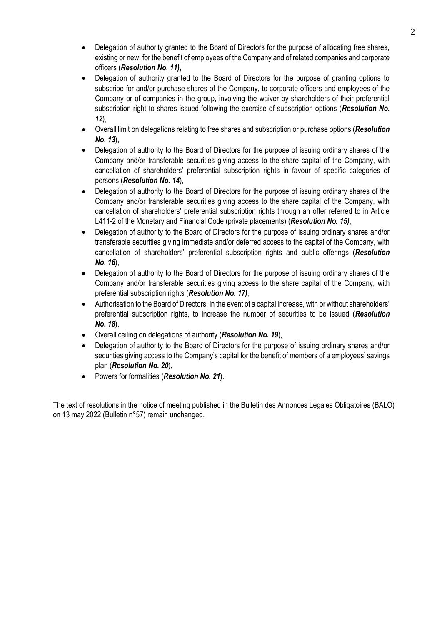- Delegation of authority granted to the Board of Directors for the purpose of allocating free shares, existing or new, for the benefit of employees of the Company and of related companies and corporate officers (*Resolution No. 11)*,
- Delegation of authority granted to the Board of Directors for the purpose of granting options to subscribe for and/or purchase shares of the Company, to corporate officers and employees of the Company or of companies in the group, involving the waiver by shareholders of their preferential subscription right to shares issued following the exercise of subscription options (*Resolution No. 12*),
- Overall limit on delegations relating to free shares and subscription or purchase options (*Resolution No. 13*),
- Delegation of authority to the Board of Directors for the purpose of issuing ordinary shares of the Company and/or transferable securities giving access to the share capital of the Company, with cancellation of shareholders' preferential subscription rights in favour of specific categories of persons (*Resolution No. 14*),
- Delegation of authority to the Board of Directors for the purpose of issuing ordinary shares of the Company and/or transferable securities giving access to the share capital of the Company, with cancellation of shareholders' preferential subscription rights through an offer referred to in Article L411-2 of the Monetary and Financial Code (private placements) (*Resolution No. 15)*,
- Delegation of authority to the Board of Directors for the purpose of issuing ordinary shares and/or transferable securities giving immediate and/or deferred access to the capital of the Company, with cancellation of shareholders' preferential subscription rights and public offerings (*Resolution No. 16*),
- Delegation of authority to the Board of Directors for the purpose of issuing ordinary shares of the Company and/or transferable securities giving access to the share capital of the Company, with preferential subscription rights (*Resolution No. 17)*,
- Authorisation to the Board of Directors, in the event of a capital increase, with or without shareholders' preferential subscription rights, to increase the number of securities to be issued (*Resolution No. 18*),
- Overall ceiling on delegations of authority (*Resolution No. 19*),
- Delegation of authority to the Board of Directors for the purpose of issuing ordinary shares and/or securities giving access to the Company's capital for the benefit of members of a employees' savings plan (*Resolution No. 20*),
- Powers for formalities (*Resolution No. 21*).

The text of resolutions in the notice of meeting published in the Bulletin des Annonces Légales Obligatoires (BALO) on 13 may 2022 (Bulletin n°57) remain unchanged.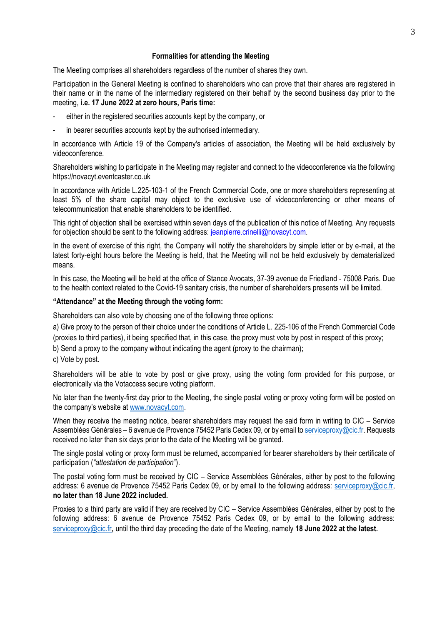#### **Formalities for attending the Meeting**

The Meeting comprises all shareholders regardless of the number of shares they own.

Participation in the General Meeting is confined to shareholders who can prove that their shares are registered in their name or in the name of the intermediary registered on their behalf by the second business day prior to the meeting, **i.e. 17 June 2022 at zero hours, Paris time:**

- either in the registered securities accounts kept by the company, or
- in bearer securities accounts kept by the authorised intermediary.

In accordance with Article 19 of the Company's articles of association, the Meeting will be held exclusively by videoconference.

Shareholders wishing to participate in the Meeting may register and connect to the videoconference via the following https://novacyt.eventcaster.co.uk

In accordance with Article L.225-103-1 of the French Commercial Code, one or more shareholders representing at least 5% of the share capital may object to the exclusive use of videoconferencing or other means of telecommunication that enable shareholders to be identified.

This right of objection shall be exercised within seven days of the publication of this notice of Meeting. Any requests for objection should be sent to the following address: [jeanpierre.crinelli@novacyt.com.](mailto:jeanpierre.crinelli@novacyt.com)

In the event of exercise of this right, the Company will notify the shareholders by simple letter or by e-mail, at the latest forty-eight hours before the Meeting is held, that the Meeting will not be held exclusively by dematerialized means.

In this case, the Meeting will be held at the office of Stance Avocats, 37-39 avenue de Friedland - 75008 Paris. Due to the health context related to the Covid-19 sanitary crisis, the number of shareholders presents will be limited.

#### **"Attendance" at the Meeting through the voting form:**

Shareholders can also vote by choosing one of the following three options:

a) Give proxy to the person of their choice under the conditions of Article L. 225-106 of the French Commercial Code (proxies to third parties), it being specified that, in this case, the proxy must vote by post in respect of this proxy;

b) Send a proxy to the company without indicating the agent (proxy to the chairman);

c) Vote by post.

Shareholders will be able to vote by post or give proxy, using the voting form provided for this purpose, or electronically via the Votaccess secure voting platform.

No later than the twenty-first day prior to the Meeting, the single postal voting or proxy voting form will be posted on the company's website at [www.novacyt.com.](http://www.novacyt.cominterparfums-finance.fr/)

When they receive the meeting notice, bearer shareholders may request the said form in writing to CIC – Service Assemblées Générales – 6 avenue de Provence 75452 Paris Cedex 09, or by email t[o serviceproxy@cic.fr.](mailto:serviceproxy@cic.fr) Requests received no later than six days prior to the date of the Meeting will be granted.

The single postal voting or proxy form must be returned, accompanied for bearer shareholders by their certificate of participation (*"attestation de participation"*).

The postal voting form must be received by CIC – Service Assemblées Générales, either by post to the following address: 6 avenue de Provence 75452 Paris Cedex 09, or by email to the following address: [serviceproxy@cic.fr,](mailto:serviceproxy@cic.fr) **no later than 18 June 2022 included.**

Proxies to a third party are valid if they are received by CIC – Service Assemblées Générales, either by post to the following address: 6 avenue de Provence 75452 Paris Cedex 09, or by email to the following address: [serviceproxy@cic.fr](mailto:serviceproxy@cic.fr), until the third day preceding the date of the Meeting, namely **18 June 2022 at the latest.**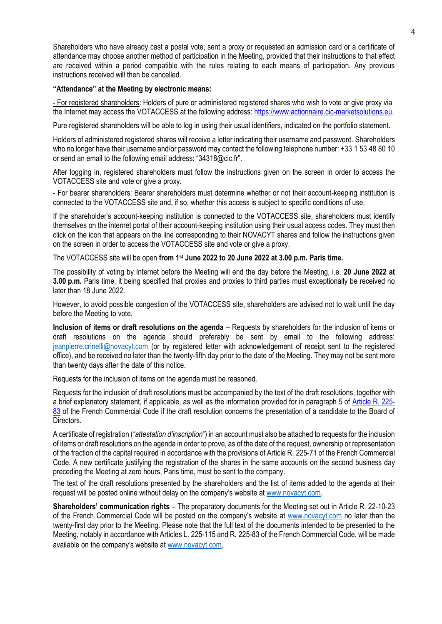Shareholders who have already cast a postal vote, sent a proxy or requested an admission card or a certificate of attendance may choose another method of participation in the Meeting, provided that their instructions to that effect are received within a period compatible with the rules relating to each means of participation. Any previous instructions received will then be cancelled.

### **"Attendance" at the Meeting by electronic means:**

- For registered shareholders: Holders of pure or administered registered shares who wish to vote or give proxy via the Internet may access the VOTACCESS at the following address: [https://www.actionnaire.cic-marketsolutions.eu.](https://www.actionnaire.cic-marketsolutions.eu/)

Pure registered shareholders will be able to log in using their usual identifiers, indicated on the portfolio statement.

Holders of administered registered shares will receive a letter indicating their username and password. Shareholders who no longer have their username and/or password may contact the following telephone number: +33 1 53 48 80 10 or send an email to the following email address: "34318@cic.fr".

After logging in, registered shareholders must follow the instructions given on the screen in order to access the VOTACCESS site and vote or give a proxy.

- For bearer shareholders: Bearer shareholders must determine whether or not their account-keeping institution is connected to the VOTACCESS site and, if so, whether this access is subject to specific conditions of use.

If the shareholder's account-keeping institution is connected to the VOTACCESS site, shareholders must identify themselves on the internet portal of their account-keeping institution using their usual access codes. They must then click on the icon that appears on the line corresponding to their NOVACYT shares and follow the instructions given on the screen in order to access the VOTACCESS site and vote or give a proxy.

The VOTACCESS site will be open **from 1 st June 2022 to 20 June 2022 at 3.00 p.m. Paris time.**

The possibility of voting by Internet before the Meeting will end the day before the Meeting, i.e. **20 June 2022 at 3.00 p.m.** Paris time, it being specified that proxies and proxies to third parties must exceptionally be received no later than 18 June 2022.

However, to avoid possible congestion of the VOTACCESS site, shareholders are advised not to wait until the day before the Meeting to vote.

**Inclusion of items or draft resolutions on the agenda** – Requests by shareholders for the inclusion of items or draft resolutions on the agenda should preferably be sent by email to the following address: jeanpierre.crinelli@novacyt.com (or by registered letter with acknowledgement of receipt sent to the registered office), and be received no later than the twenty-fifth day prior to the date of the Meeting. They may not be sent more than twenty days after the date of this notice.

Requests for the inclusion of items on the agenda must be reasoned.

Requests for the inclusion of draft resolutions must be accompanied by the text of the draft resolutions, together with a brief explanatory statement, if applicable, as well as the information provided for in paragraph 5 of [Article R.](http://www.legifrance.gouv.fr/affichCodeArticle.do;jsessionid=558836EFDA7408B166E2D3E9A3FC2B02.tpdjo03v_3?cidTexte=LEGITEXT000005634379&idArticle=LEGIARTI000006261121&dateTexte=&categorieLien=cid) 225- [83](http://www.legifrance.gouv.fr/affichCodeArticle.do;jsessionid=558836EFDA7408B166E2D3E9A3FC2B02.tpdjo03v_3?cidTexte=LEGITEXT000005634379&idArticle=LEGIARTI000006261121&dateTexte=&categorieLien=cid) of the French Commercial Code if the draft resolution concerns the presentation of a candidate to the Board of Directors.

A certificate of registration (*"attestation d'inscription"*) in an account must also be attached to requests for the inclusion of items or draft resolutions on the agenda in order to prove, as of the date of the request, ownership or representation of the fraction of the capital required in accordance with the provisions of Article R. 225-71 of the French Commercial Code. A new certificate justifying the registration of the shares in the same accounts on the second business day preceding the Meeting at zero hours, Paris time, must be sent to the company.

The text of the draft resolutions presented by the shareholders and the list of items added to the agenda at their request will be posted online without delay on the company's website at [www.novacyt.com.](http://www.novacyt.com/)

**Shareholders' communication rights** – The preparatory documents for the Meeting set out in Article R. 22-10-23 of the French Commercial Code will be posted on the company's website at [www.novacyt.com](http://www.novacyt.com/) no later than the twenty-first day prior to the Meeting. Please note that the full text of the documents intended to be presented to the Meeting, notably in accordance with Articles L. 225-115 and R. 225-83 of the French Commercial Code, will be made available on the company's website at [www.novacyt.com](http://www.novacyt.com/).